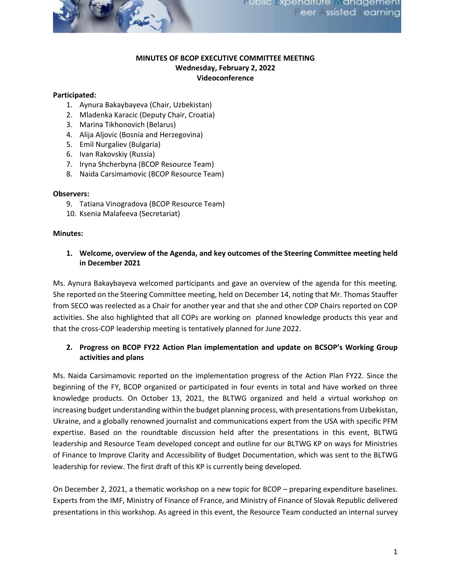

# **MINUTES OF BCOP EXECUTIVE COMMITTEE MEETING Wednesday, February 2, 2022 Videoconference**

#### **Participated:**

- 1. Aynura Bakaybayeva (Chair, Uzbekistan)
- 2. Mladenka Karacic (Deputy Chair, Croatia)
- 3. Marina Tikhonovich (Belarus)
- 4. Alija Aljovic (Bosnia and Herzegovina)
- 5. Emil Nurgaliev (Bulgaria)
- 6. Ivan Rakovskiy (Russia)
- 7. Iryna Shcherbyna (BCOP Resource Team)
- 8. Naida Carsimamovic (BCOP Resource Team)

#### **Observers:**

- 9. Tatiana Vinogradova (BCOP Resource Team)
- 10. Ksenia Malafeeva (Secretariat)

#### **Minutes:**

### **1. Welcome, overview of the Agenda, and key outcomes of the Steering Committee meeting held in December 2021**

Ms. Aynura Bakaybayeva welcomed participants and gave an overview of the agenda for this meeting. She reported on the Steering Committee meeting, held on December 14, noting that Mr. Thomas Stauffer from SECO was reelected as a Chair for another year and that she and other COP Chairs reported on COP activities. She also highlighted that all COPs are working on planned knowledge products this year and that the cross-COP leadership meeting is tentatively planned for June 2022.

# **2. Progress on BCOP FY22 Action Plan implementation and update on BCSOP's Working Group activities and plans**

Ms. Naida Carsimamovic reported on the implementation progress of the Action Plan FY22. Since the beginning of the FY, BCOP organized or participated in four events in total and have worked on three knowledge products. On October 13, 2021, the BLTWG organized and held a virtual workshop on increasing budget understanding within the budget planning process, with presentations from Uzbekistan, Ukraine, and a globally renowned journalist and communications expert from the USA with specific PFM expertise. Based on the roundtable discussion held after the presentations in this event, BLTWG leadership and Resource Team developed concept and outline for our BLTWG KP on ways for Ministries of Finance to Improve Clarity and Accessibility of Budget Documentation, which was sent to the BLTWG leadership for review. The first draft of this KP is currently being developed.

On December 2, 2021, a thematic workshop on a new topic for BCOP – preparing expenditure baselines. Experts from the IMF, Ministry of Finance of France, and Ministry of Finance of Slovak Republic delivered presentations in this workshop. As agreed in this event, the Resource Team conducted an internal survey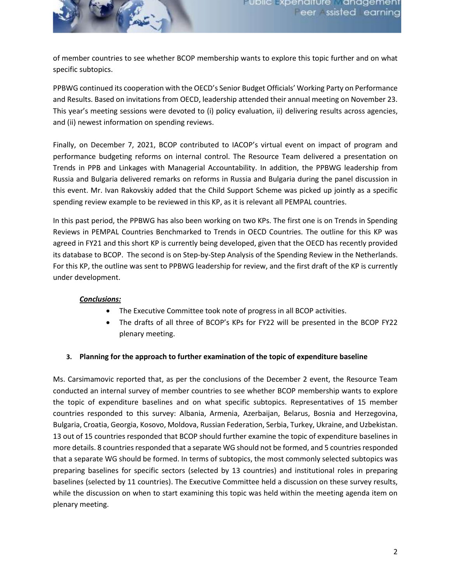

of member countries to see whether BCOP membership wants to explore this topic further and on what specific subtopics.

PPBWG continued its cooperation with the OECD's Senior Budget Officials' Working Party on Performance and Results. Based on invitations from OECD, leadership attended their annual meeting on November 23. This year's meeting sessions were devoted to (i) policy evaluation, ii) delivering results across agencies, and (ii) newest information on spending reviews.

Finally, on December 7, 2021, BCOP contributed to IACOP's virtual event on impact of program and performance budgeting reforms on internal control. The Resource Team delivered a presentation on Trends in PPB and Linkages with Managerial Accountability. In addition, the PPBWG leadership from Russia and Bulgaria delivered remarks on reforms in Russia and Bulgaria during the panel discussion in this event. Mr. Ivan Rakovskiy added that the Child Support Scheme was picked up jointly as a specific spending review example to be reviewed in this KP, as it is relevant all PEMPAL countries.

In this past period, the PPBWG has also been working on two KPs. The first one is on Trends in Spending Reviews in PEMPAL Countries Benchmarked to Trends in OECD Countries. The outline for this KP was agreed in FY21 and this short KP is currently being developed, given that the OECD has recently provided its database to BCOP. The second is on Step-by-Step Analysis of the Spending Review in the Netherlands. For this KP, the outline was sent to PPBWG leadership for review, and the first draft of the KP is currently under development.

# *Conclusions:*

- The Executive Committee took note of progress in all BCOP activities.
- The drafts of all three of BCOP's KPs for FY22 will be presented in the BCOP FY22 plenary meeting.

# **3. Planning for the approach to further examination of the topic of expenditure baseline**

Ms. Carsimamovic reported that, as per the conclusions of the December 2 event, the Resource Team conducted an internal survey of member countries to see whether BCOP membership wants to explore the topic of expenditure baselines and on what specific subtopics. Representatives of 15 member countries responded to this survey: Albania, Armenia, Azerbaijan, Belarus, Bosnia and Herzegovina, Bulgaria, Croatia, Georgia, Kosovo, Moldova, Russian Federation, Serbia, Turkey, Ukraine, and Uzbekistan. 13 out of 15 countries responded that BCOP should further examine the topic of expenditure baselines in more details. 8 countries responded that a separate WG should not be formed, and 5 countries responded that a separate WG should be formed. In terms of subtopics, the most commonly selected subtopics was preparing baselines for specific sectors (selected by 13 countries) and institutional roles in preparing baselines (selected by 11 countries). The Executive Committee held a discussion on these survey results, while the discussion on when to start examining this topic was held within the meeting agenda item on plenary meeting.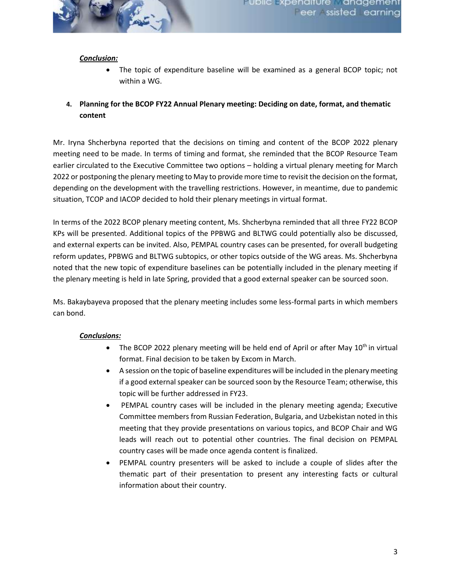

### *Conclusion:*

• The topic of expenditure baseline will be examined as a general BCOP topic; not within a WG.

# **4. Planning for the BCOP FY22 Annual Plenary meeting: Deciding on date, format, and thematic content**

Mr. Iryna Shcherbyna reported that the decisions on timing and content of the BCOP 2022 plenary meeting need to be made. In terms of timing and format, she reminded that the BCOP Resource Team earlier circulated to the Executive Committee two options – holding a virtual plenary meeting for March 2022 or postponing the plenary meeting to May to provide more time to revisit the decision on the format, depending on the development with the travelling restrictions. However, in meantime, due to pandemic situation, TCOP and IACOP decided to hold their plenary meetings in virtual format.

In terms of the 2022 BCOP plenary meeting content, Ms. Shcherbyna reminded that all three FY22 BCOP KPs will be presented. Additional topics of the PPBWG and BLTWG could potentially also be discussed, and external experts can be invited. Also, PEMPAL country cases can be presented, for overall budgeting reform updates, PPBWG and BLTWG subtopics, or other topics outside of the WG areas. Ms. Shcherbyna noted that the new topic of expenditure baselines can be potentially included in the plenary meeting if the plenary meeting is held in late Spring, provided that a good external speaker can be sourced soon.

Ms. Bakaybayeva proposed that the plenary meeting includes some less-formal parts in which members can bond.

# *Conclusions:*

- The BCOP 2022 plenary meeting will be held end of April or after May  $10<sup>th</sup>$  in virtual format. Final decision to be taken by Excom in March.
- A session on the topic of baseline expenditures will be included in the plenary meeting if a good external speaker can be sourced soon by the Resource Team; otherwise, this topic will be further addressed in FY23.
- PEMPAL country cases will be included in the plenary meeting agenda; Executive Committee members from Russian Federation, Bulgaria, and Uzbekistan noted in this meeting that they provide presentations on various topics, and BCOP Chair and WG leads will reach out to potential other countries. The final decision on PEMPAL country cases will be made once agenda content is finalized.
- PEMPAL country presenters will be asked to include a couple of slides after the thematic part of their presentation to present any interesting facts or cultural information about their country.